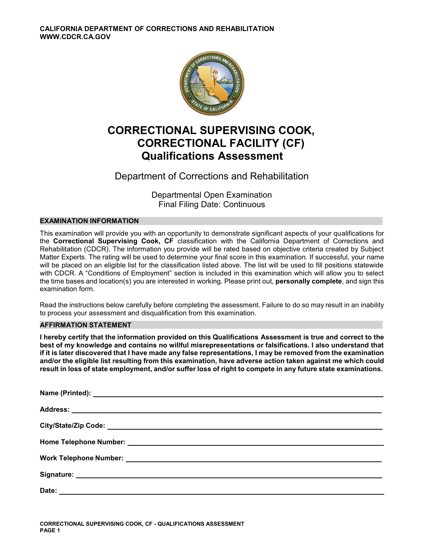

# **CORRECTIONAL SUPERVISING COOK, CORRECTIONAL FACILITY (CF) Qualifications Assessment**

# Department of Corrections and Rehabilitation

Departmental Open Examination Final Filing Date: Continuous

# **EXAMINATION INFORMATION**

This examination will provide you with an opportunity to demonstrate significant aspects of your qualifications for the **Correctional Supervising Cook, CF** classification with the California Department of Corrections and Rehabilitation (CDCR). The information you provide will be rated based on objective criteria created by Subject Matter Experts. The rating will be used to determine your final score in this examination. If successful, your name will be placed on an eligible list for the classification listed above. The list will be used to fill positions statewide with CDCR. A "Conditions of Employment" section is included in this examination which will allow you to select the time bases and location(s) you are interested in working. Please print out, **personally complete**, and sign this examination form.

Read the instructions below carefully before completing the assessment. Failure to do so may result in an inability to process your assessment and disqualification from this examination.

# **AFFIRMATION STATEMENT**

**I hereby certify that the information provided on this Qualifications Assessment is true and correct to the best of my knowledge and contains no willful misrepresentations or falsifications. I also understand that if it is later discovered that I have made any false representations, I may be removed from the examination and/or the eligible list resulting from this examination, have adverse action taken against me which could result in loss of state employment, and/or suffer loss of right to compete in any future state examinations.**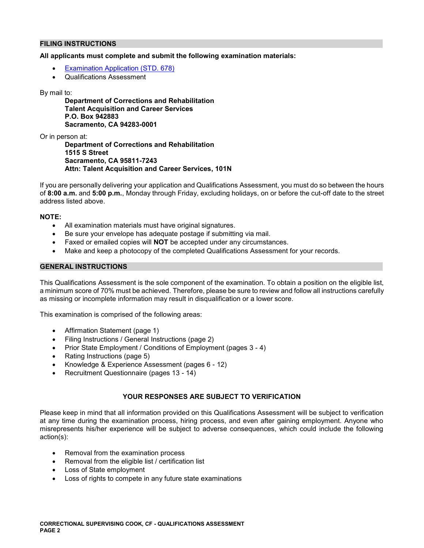# **FILING INSTRUCTIONS**

## **All applicants must complete and submit the following examination materials:**

- [Examination Application \(STD. 678\)](https://jobs.ca.gov/pdf/STD678.pdf)
- Qualifications Assessment

## By mail to:

**Department of Corrections and Rehabilitation Talent Acquisition and Career Services P.O. Box 942883 Sacramento, CA 94283-0001** 

Or in person at:

**Department of Corrections and Rehabilitation 1515 S Street Sacramento, CA 95811-7243 Attn: Talent Acquisition and Career Services, 101N** 

If you are personally delivering your application and Qualifications Assessment, you must do so between the hours of **8:00 a.m.** and **5:00 p.m.**, Monday through Friday, excluding holidays, on or before the cut-off date to the street address listed above.

# **NOTE:**

- All examination materials must have original signatures.
- Be sure your envelope has adequate postage if submitting via mail.
- Faxed or emailed copies will **NOT** be accepted under any circumstances.
- Make and keep a photocopy of the completed Qualifications Assessment for your records.

# **GENERAL INSTRUCTIONS**

This Qualifications Assessment is the sole component of the examination. To obtain a position on the eligible list, a minimum score of 70% must be achieved. Therefore, please be sure to review and follow all instructions carefully as missing or incomplete information may result in disqualification or a lower score.

This examination is comprised of the following areas:

- Affirmation Statement (page 1)
- Filing Instructions / General Instructions (page 2)
- Prior State Employment / Conditions of Employment (pages 3 4)
- Rating Instructions (page 5)
- Knowledge & Experience Assessment (pages 6 12)
- Recruitment Questionnaire (pages 13 14)

# **YOUR RESPONSES ARE SUBJECT TO VERIFICATION**

Please keep in mind that all information provided on this Qualifications Assessment will be subject to verification at any time during the examination process, hiring process, and even after gaining employment. Anyone who misrepresents his/her experience will be subject to adverse consequences, which could include the following action(s):

- Removal from the examination process
- Removal from the eligible list / certification list
- Loss of State employment
- Loss of rights to compete in any future state examinations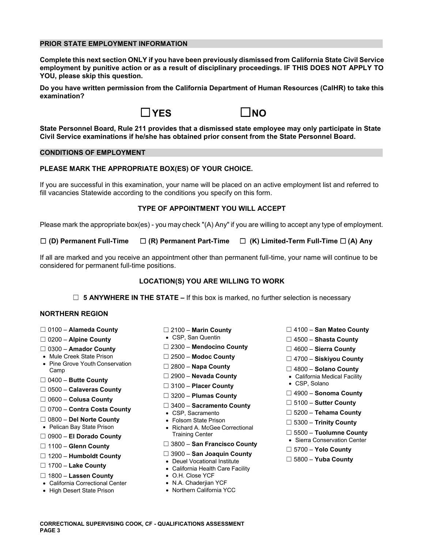# **PRIOR STATE EMPLOYMENT INFORMATION**

**Complete this next section ONLY if you have been previously dismissed from California State Civil Service employment by punitive action or as a result of disciplinary proceedings. IF THIS DOES NOT APPLY TO YOU, please skip this question.** 

**Do you have written permission from the California Department of Human Resources (CalHR) to take this examination?** 





**State Personnel Board, Rule 211 provides that a dismissed state employee may only participate in State Civil Service examinations if he/she has obtained prior consent from the State Personnel Board.** 

# **CONDITIONS OF EMPLOYMENT**

# **PLEASE MARK THE APPROPRIATE BOX(ES) OF YOUR CHOICE.**

If you are successful in this examination, your name will be placed on an active employment list and referred to fill vacancies Statewide according to the conditions you specify on this form.

## **TYPE OF APPOINTMENT YOU WILL ACCEPT**

Please mark the appropriate box(es) - you may check "(A) Any" if you are willing to accept any type of employment.

☐ **(D) Permanent Full-Time** ☐ **(R) Permanent Part-Time** ☐ **(K) Limited-Term Full-Time** ☐ **(A) Any** 

If all are marked and you receive an appointment other than permanent full-time, your name will continue to be considered for permanent full-time positions.

## **LOCATION(S) YOU ARE WILLING TO WORK**

☐ **5 ANYWHERE IN THE STATE –** If this box is marked, no further selection is necessary

# **NORTHERN REGION**

- 
- ☐ 0200 **Alpine County**  CSP, San Quentin ☐ 4500 **Shasta County**
- 
- 
- Mule Creek State Prison ☐ 2500 **Modoc County** ☐ 4700 **Siskiyou County**  Pine Grove Youth Conservation ☐ 2800 **Napa County** Camp ☐ 4800 **Solano County**
- 
- ☐ 0500 **Calaveras County**
- ☐ 0600 **Colusa County**
- ☐ **ra <sup>y</sup>**0700 **Contra Costa County**  CSP, Sacramento ☐ 5200 **Tehama County**
- 
- ☐ 0800 **Del Norte County**  Folsom State Prison ☐ 5300 **Trinity County**  Pelican Bay State Prison Richard A. McGee Correctional
- 
- 
- ☐ 1200 **Humboldt County** ☐ 3900 **San J quin Coun oa ty**
- 
- 
- □ 1800 Lassen County  **O.H. Close YCF**<br>• California Correctional Center N.A. Chaderjian YCF ● California Correctional Center **● N.A. Chaderjian YCF**<br>● High Desert State Prison **● Northern California YCC**
- High Desert State Prison
- 
- 
- ☐ 0300 **Amador County** ☐ 2300 **Mendocino County** ☐ 4600 **Sierra County** 
	-
	-
	-
	-
	-
	-
	-
	-
- ☐ 5500 **Tuolumne County** ☐ 0900 **El Dorado County** Training Center
- ☐ 1100 **Glenn County** ☐ 3800 **San Francisco County** 
	-
	- Deuel Vocational Institute ☐ 5800 **Yuba County**
- □ 1700 **Lake County**<br>• California Health Care Facility
	-
	-
	-
- ☐ 0100 **Alameda County** ☐ 2100 **Marin County** ☐ 4100 **San Mateo County** 
	-
	-
	-
	-
- ☐ 2900 **Nevada County** California Medical Facility ☐ 0400 **Butte County** 
	- ☐ CSP, Solano 3100 **Placer County**
	- ☐ 3200 **Plumas County** ☐ 4900 **Sonoma County**
	- ☐ 5100 **Sutter County** 3400 **Sac mento Count** ☐
		-
		-
		- Sierra Conservation Center
		- ☐ 5700 **Yolo County**
		-

**CORRECTIONAL SUPERVISING COOK, CF - QUALIFICATIONS ASSESSMENT PAGE 3**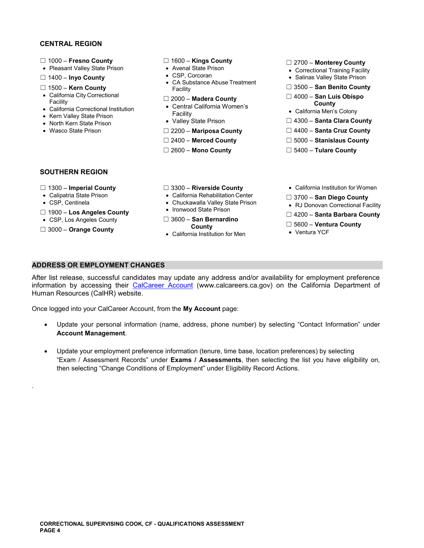# **CENTRAL REGION**

- 
- ☐ 1000 **Fresno County** ☐ 1600 **Kings County** ☐ 2700 **Monterey County**  Pleasant Valley State Prison Avenal State Prison Correctional Training Facility
- 
- 
- 
- 
- 
- 
- 
- 
- 
- 
- ☐ **Inyo County**  CSP, Corcoran 1400 Salinas Valley State Prison CA Substance Abuse Treatment ☐ 1500 – **Kern County** Facility ☐ 3500 – **San Benito County** 
	-
- California City Correctional ☐ 2000 **Madera County** ☐ 4000 **San Luis Obispo** Facility **County**  Central California Women's California Correctional Institution California Men's Colony Facility Kern Valley State Prison
	-
	-
	-
	-

- 
- 
- 
- 
- 
- Kern Valley State Prison **Facility** Facility County<br>■ North Kern State Prison Valley State Prison **Santa Clara County**
- Wasco State Prison ☐ 2200 **Mariposa County** ☐ 4400 **Santa Cruz County** 
	- ☐ 2400 **Merced County** ☐ 5000 **Stanislaus County**
	- ☐ 2600 **Mono County** ☐ 5400 **Tulare County**

# **SOUTHERN REGION**

- 
- 
- 

.

- 
- 
- 
- 
- 
- 
- 
- ☐ Ironwood State Prison 1900 **Los Angeles County** ☐ 4200 **Santa Barbara County**  CSP, Los Angeles County ☐ 3600 **San Bernardino**  <p>7.960 • <b>Car</b> <math display="inline">\overline{C}</math> <b>SET UP</b></p>\n<p>7.960 • <b>Center UP</b></p>\n<p>7.960 • <b>Center UP</b></p>\n<p>8.960 • <b>Vector</b> <math display="inline">\overline{C}</math> <b>3000</b> • <b>Vector</b> <math display="inline">\overline{C}</math> <b>3000</b> • <b>Vector</b> <math display="inline">\overline{C}</math> <b>3000</b> • <b>Vector</b> <math display="inline">\overline{C}</math> <b>3000</b> • <b>Vector</b> <math display="inline
	-
- ☐ 1300 **Imperial County** ☐ 3300 **Riverside County**  California Institution for Women
	-
- Calipatria State Prison California Rehabilitation Center ☐ 3700 **San Diego County**  CSP, Centinela Chuckawalla Valley State Prison RJ Donovan Correctional Facility
	-
	- -

# **ADDRESS OR EMPLOYMENT CHANGES**

After list release, successful candidates may update any address and/or availability for employment preference information by accessing their [CalCareer Account](https://www.jobs.ca.gov/) (www.calcareers.ca.gov) on the California Department of Human Resources (CalHR) website.

Once logged into your CalCareer Account, from the **My Account** page:

- Update your personal information (name, address, phone number) by selecting "Contact Information" under **Account Management**.
- Update your employment preference information (tenure, time base, location preferences) by selecting "Exam / Assessment Records" under **Exams / Assessments**, then selecting the list you have eligibility on, then selecting "Change Conditions of Employment" under Eligibility Record Actions.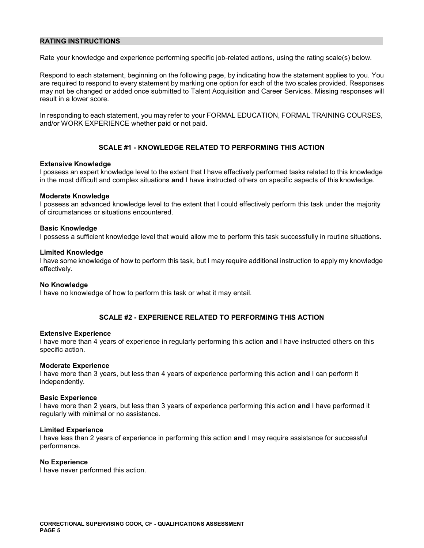# **RATING INSTRUCTIONS**

Rate your knowledge and experience performing specific job-related actions, using the rating scale(s) below.

Respond to each statement, beginning on the following page, by indicating how the statement applies to you. You are required to respond to every statement by marking one option for each of the two scales provided. Responses may not be changed or added once submitted to Talent Acquisition and Career Services. Missing responses will result in a lower score.

In responding to each statement, you may refer to your FORMAL EDUCATION, FORMAL TRAINING COURSES, and/or WORK EXPERIENCE whether paid or not paid.

# **SCALE #1 - KNOWLEDGE RELATED TO PERFORMING THIS ACTION**

### **Extensive Knowledge**

I possess an expert knowledge level to the extent that I have effectively performed tasks related to this knowledge in the most difficult and complex situations **and** I have instructed others on specific aspects of this knowledge.

### **Moderate Knowledge**

I possess an advanced knowledge level to the extent that I could effectively perform this task under the majority of circumstances or situations encountered.

## **Basic Knowledge**

I possess a sufficient knowledge level that would allow me to perform this task successfully in routine situations.

### **Limited Knowledge**

I have some knowledge of how to perform this task, but I may require additional instruction to apply my knowledge effectively.

## **No Knowledge**

I have no knowledge of how to perform this task or what it may entail.

# **SCALE #2 - EXPERIENCE RELATED TO PERFORMING THIS ACTION**

### **Extensive Experience**

I have more than 4 years of experience in regularly performing this action **and** I have instructed others on this specific action.

### **Moderate Experience**

I have more than 3 years, but less than 4 years of experience performing this action **and** I can perform it independently.

### **Basic Experience**

I have more than 2 years, but less than 3 years of experience performing this action **and** I have performed it regularly with minimal or no assistance.

### **Limited Experience**

I have less than 2 years of experience in performing this action **and** I may require assistance for successful performance.

## **No Experience**

I have never performed this action.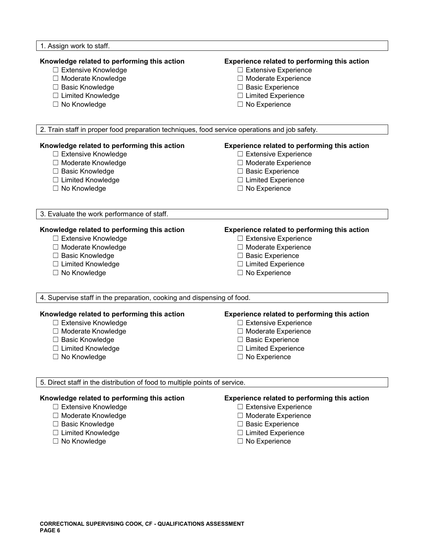- 
- 
- 
- 
- 

# **Knowledge related to performing this action Experience related to performing this action**

- ☐ Extensive Knowledge ☐ Extensive Experience
- ☐ Moderate Knowledge ☐ Moderate Experience
- ☐ Basic Knowledge ☐ Basic Experience
- ☐ Limited Knowledge ☐ Limited Experience
- ☐ No Knowledge ☐ No Experience

2. Train staff in proper food preparation techniques, food service operations and job safety.

- ☐ Extensive Knowledge ☐ Extensive Experience
- ☐ Moderate Knowledge ☐ Moderate Experience
- 
- 
- 

# **Knowledge related to performing this action Experience related to performing this action**

- 
- 
- ☐ Basic Knowledge ☐ Basic Experience
- ☐ Limited Knowledge ☐ Limited Experience
- ☐ No Knowledge ☐ No Experience

3. Evaluate the work performance of staff.

# **Knowledge related to performing this action Experience related to performing this action**

- 
- ☐ Moderate Knowledge ☐ Moderate Experience
- 
- ☐ Limited Knowledge ☐ Limited Experience
- ☐ No Knowledge ☐ No Experience

- ☐ Extensive Knowledge ☐ Extensive Experience
	-
- ☐ Basic Knowledge ☐ Basic Experience
	-
	-

4. Supervise staff in the preparation, cooking and dispensing of food.

- 
- ☐ Moderate Knowledge ☐ Moderate Experience
- ☐ Basic Knowledge ☐ Basic Experience
- ☐ Limited Knowledge ☐ Limited Experience
- 

# **Knowledge related to performing this action Experience related to performing this action**

- ☐ Extensive Knowledge ☐ Extensive Experience
	-
	-
	-
- ☐ No Knowledge ☐ No Experience

5. Direct staff in the distribution of food to multiple points of service.

- ☐ Extensive Knowledge ☐ Extensive Experience
- 
- 
- ☐ Limited Knowledge ☐ Limited Experience
- 

# **Knowledge related to performing this action Experience related to performing this action**

- 
- ☐ Moderate Knowledge ☐ Moderate Experience
- ☐ Basic Knowledge ☐ Basic Experience
	-
- ☐ No Knowledge ☐ No Experience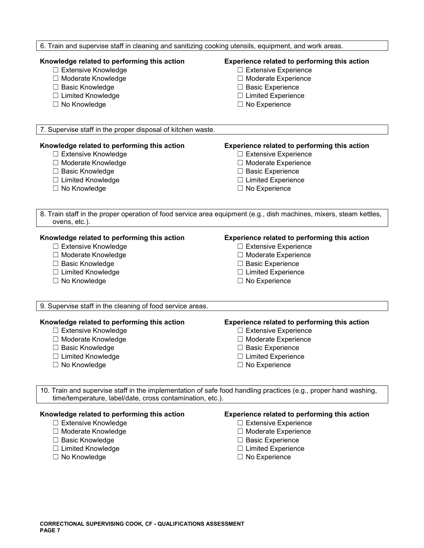6. Train and supervise staff in cleaning and sanitizing cooking utensils, equipment, and work areas. **Knowledge related to performing this action Experience related to performing this action**  ☐ Extensive Knowledge ☐ Extensive Experience ☐ Moderate Knowledge ☐ Moderate Experience ☐ Basic Knowledge ☐ Basic Experience ☐ Limited Knowledge ☐ Limited Experience ☐ No Knowledge ☐ No Experience 7. Supervise staff in the proper disposal of kitchen waste. **Knowledge related to performing this action Experience related to performing this action**  ☐ Extensive Knowledge ☐ Extensive Experience ☐ Moderate Knowledge ☐ Moderate Experience ☐ Basic Knowledge ☐ Basic Experience ☐ Limited Knowledge ☐ Limited Experience ☐ No Knowledge ☐ No Experience 8. Train staff in the proper operation of food service area equipment (e.g., dish machines, mixers, steam kettles, ovens, etc.). **Knowledge related to performing this action Experience related to performing this action**  ☐ Extensive Knowledge ☐ Extensive Experience ☐ Moderate Knowledge ☐ Moderate Experience ☐ Basic Knowledge ☐ Basic Experience ☐ Limited Knowledge ☐ Limited Experience ☐ No Knowledge ☐ No Experience 9. Supervise staff in the cleaning of food service areas. **Knowledge related to performing this action Experience related to performing this action**  ☐ Extensive Knowledge ☐ Extensive Experience ☐ Moderate Knowledge ☐ Moderate Experience ☐ Basic Knowledge ☐ Basic Experience ☐ Limited Knowledge ☐ Limited Experience ☐ No Knowledge ☐ No Experience 10. Train and supervise staff in the implementation of safe food handling practices (e.g., proper hand washing, time/temperature, label/date, cross contamination, etc.). **Knowledge related to performing this action Experience related to performing this action**  ☐ Extensive Knowledge ☐ Extensive Experience

- ☐ Moderate Knowledge ☐ Moderate Experience
- ☐ Basic Knowledge ☐ Basic Experience
- ☐ Limited Knowledge ☐ Limited Experience
- ☐ No Knowledge ☐ No Experience
- 
- 
- 
- -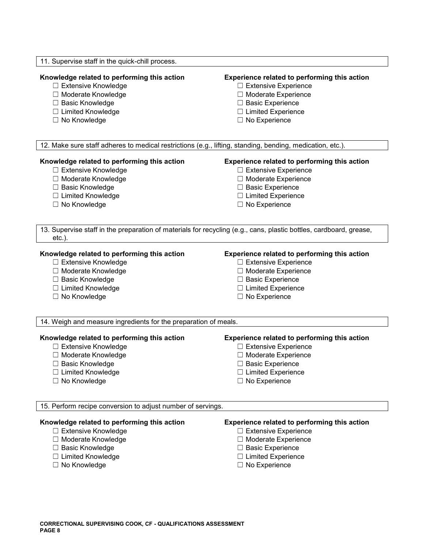|  | 11. Supervise staff in the quick-chill process. |  |  |  |  |
|--|-------------------------------------------------|--|--|--|--|
|--|-------------------------------------------------|--|--|--|--|

## **Knowledge related to performing this action Experience related to performing this action**

- ☐ Extensive Knowledge ☐ Extensive Experience
- ☐ Moderate Knowledge ☐ Moderate Experience
- ☐ Basic Knowledge ☐ Basic Experience
- 
- ☐ No Knowledge ☐ No Experience

- 
- 
- 
- ☐ Limited Knowledge ☐ Limited Experience
	-

12. Make sure staff adheres to medical restrictions (e.g., lifting, standing, bending, medication, etc.).

# **Knowledge related to performing this action Experience related to performing this action**

- ☐ Extensive Knowledge ☐ Extensive Experience
- ☐ Moderate Knowledge ☐ Moderate Experience
- ☐ Basic Knowledge ☐ Basic Experience
- ☐ Limited Knowledge ☐ Limited Experience
- ☐ No Knowledge ☐ No Experience

- 
- 
- 
- 
- 

13. Supervise staff in the preparation of materials for recycling (e.g., cans, plastic bottles, cardboard, grease, etc.).

## **Knowledge related to performing this action Experience related to performing this action**

- ☐ Extensive Knowledge ☐ Extensive Experience
- ☐ Moderate Knowledge ☐ Moderate Experience
- ☐ Basic Knowledge ☐ Basic Experience
- ☐ Limited Knowledge ☐ Limited Experience
- 

- 
- 
- 
- 
- ☐ No Knowledge ☐ No Experience

14. Weigh and measure ingredients for the preparation of meals.

# **Knowledge related to performing this action Experience related to performing this action**

- 
- ☐ Moderate Knowledge ☐ Moderate Experience
- ☐ Basic Knowledge ☐ Basic Experience
- 
- 

- ☐ Extensive Knowledge ☐ Extensive Experience
	-
	-
- ☐ Limited Knowledge ☐ Limited Experience
- ☐ No Knowledge ☐ No Experience

15. Perform recipe conversion to adjust number of servings.

- 
- ☐ Moderate Knowledge ☐ Moderate Experience
- ☐ Basic Knowledge ☐ Basic Experience
- ☐ Limited Knowledge ☐ Limited Experience
- ☐ No Knowledge ☐ No Experience

# **Knowledge related to performing this action Experience related to performing this action**

- ☐ Extensive Knowledge ☐ Extensive Experience
	-
	-
	-
	-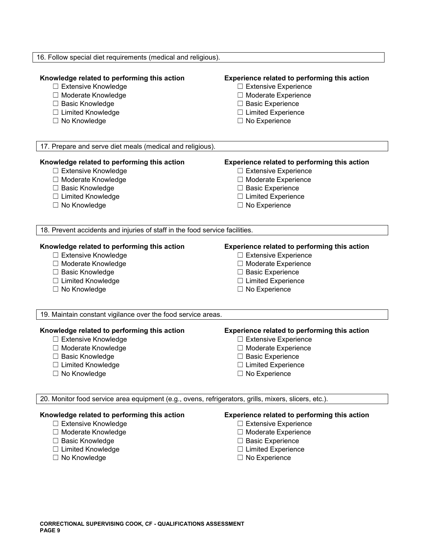| 16. Follow special diet requirements (medical and religious).                                        |                                                     |
|------------------------------------------------------------------------------------------------------|-----------------------------------------------------|
| Knowledge related to performing this action                                                          | Experience related to performing this action        |
| □ Extensive Knowledge                                                                                | $\Box$ Extensive Experience                         |
| □ Moderate Knowledge                                                                                 | □ Moderate Experience                               |
| □ Basic Knowledge                                                                                    | $\Box$ Basic Experience                             |
| □ Limited Knowledge                                                                                  | $\Box$ Limited Experience                           |
| □ No Knowledge                                                                                       | $\Box$ No Experience                                |
| 17. Prepare and serve diet meals (medical and religious).                                            |                                                     |
| Knowledge related to performing this action                                                          | Experience related to performing this action        |
| □ Extensive Knowledge                                                                                | □ Extensive Experience                              |
| □ Moderate Knowledge                                                                                 | □ Moderate Experience                               |
| □ Basic Knowledge                                                                                    | □ Basic Experience                                  |
| □ Limited Knowledge                                                                                  | $\Box$ Limited Experience                           |
| □ No Knowledge                                                                                       | $\Box$ No Experience                                |
| 18. Prevent accidents and injuries of staff in the food service facilities.                          |                                                     |
| Knowledge related to performing this action                                                          | Experience related to performing this action        |
| $\Box$ Extensive Knowledge                                                                           | □ Extensive Experience                              |
| □ Moderate Knowledge                                                                                 | □ Moderate Experience                               |
| □ Basic Knowledge                                                                                    | $\Box$ Basic Experience                             |
| □ Limited Knowledge                                                                                  | $\Box$ Limited Experience                           |
| $\Box$ No Knowledge                                                                                  | $\Box$ No Experience                                |
| 19. Maintain constant vigilance over the food service areas.                                         |                                                     |
| Knowledge related to performing this action                                                          | Experience related to performing this action        |
| □ Extensive Knowledge                                                                                | □ Extensive Experience                              |
| □ Moderate Knowledge                                                                                 | □ Moderate Experience                               |
| $\Box$ Basic Knowledge                                                                               | <b>Basic Experience</b>                             |
| □ Limited Knowledge                                                                                  | $\Box$ Limited Experience                           |
| □ No Knowledge                                                                                       | $\Box$ No Experience                                |
| 20. Monitor food service area equipment (e.g., ovens, refrigerators, grills, mixers, slicers, etc.). |                                                     |
| Knowledge related to performing this action                                                          | <b>Experience related to performing this action</b> |
| □ Extensive Knowledge                                                                                | $\Box$ Extensive Experience                         |
| □ Moderate Knowledge                                                                                 | □ Moderate Experience                               |
| □ Basic Knowledge                                                                                    | $\Box$ Basic Experience                             |
| □ Limited Knowledge                                                                                  | $\Box$ Limited Experience                           |
| $\Box$ No Knowledge                                                                                  | $\Box$ No Experience                                |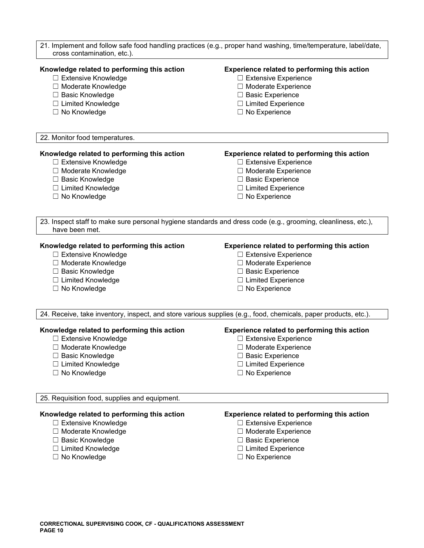| 21. Implement and follow safe food handling practices (e.g., proper hand washing, time/temperature, label/date,<br>cross contamination, etc.). |                                                     |  |  |  |
|------------------------------------------------------------------------------------------------------------------------------------------------|-----------------------------------------------------|--|--|--|
| Knowledge related to performing this action                                                                                                    | Experience related to performing this action        |  |  |  |
| $\Box$ Extensive Knowledge                                                                                                                     | □ Extensive Experience                              |  |  |  |
| □ Moderate Knowledge                                                                                                                           | □ Moderate Experience                               |  |  |  |
| □ Basic Knowledge                                                                                                                              | □ Basic Experience                                  |  |  |  |
| □ Limited Knowledge                                                                                                                            | □ Limited Experience                                |  |  |  |
| □ No Knowledge                                                                                                                                 | $\Box$ No Experience                                |  |  |  |
| 22. Monitor food temperatures.                                                                                                                 |                                                     |  |  |  |
| Knowledge related to performing this action                                                                                                    | Experience related to performing this action        |  |  |  |
| □ Extensive Knowledge                                                                                                                          | $\Box$ Extensive Experience                         |  |  |  |
| □ Moderate Knowledge                                                                                                                           | □ Moderate Experience                               |  |  |  |
| □ Basic Knowledge                                                                                                                              | □ Basic Experience                                  |  |  |  |
| □ Limited Knowledge                                                                                                                            | □ Limited Experience                                |  |  |  |
| □ No Knowledge                                                                                                                                 | $\Box$ No Experience                                |  |  |  |
| 23. Inspect staff to make sure personal hygiene standards and dress code (e.g., grooming, cleanliness, etc.),<br>have been met.                |                                                     |  |  |  |
| Knowledge related to performing this action                                                                                                    | Experience related to performing this action        |  |  |  |
| $\Box$ Extensive Knowledge                                                                                                                     | □ Extensive Experience                              |  |  |  |
| □ Moderate Knowledge                                                                                                                           | □ Moderate Experience                               |  |  |  |
| □ Basic Knowledge                                                                                                                              | □ Basic Experience                                  |  |  |  |
| □ Limited Knowledge                                                                                                                            | □ Limited Experience                                |  |  |  |
| □ No Knowledge                                                                                                                                 | $\Box$ No Experience                                |  |  |  |
| 24. Receive, take inventory, inspect, and store various supplies (e.g., food, chemicals, paper products, etc.).                                |                                                     |  |  |  |
| Knowledge related to performing this action                                                                                                    | Experience related to performing this action        |  |  |  |
| □ Extensive Knowledge                                                                                                                          | □ Extensive Experience                              |  |  |  |
| □ Moderate Knowledge                                                                                                                           | $\Box$ Moderate Experience                          |  |  |  |
| □ Basic Knowledge                                                                                                                              | $\Box$ Basic Experience                             |  |  |  |
| □ Limited Knowledge                                                                                                                            | $\Box$ Limited Experience                           |  |  |  |
| $\Box$ No Knowledge                                                                                                                            | $\Box$ No Experience                                |  |  |  |
| 25. Requisition food, supplies and equipment.                                                                                                  |                                                     |  |  |  |
| Knowledge related to performing this action                                                                                                    | <b>Experience related to performing this action</b> |  |  |  |
| □ Extensive Knowledge                                                                                                                          | □ Extensive Experience                              |  |  |  |
| □ Moderate Knowledge                                                                                                                           | □ Moderate Experience                               |  |  |  |
| □ Basic Knowledge                                                                                                                              | □ Basic Experience                                  |  |  |  |
| □ Limited Knowledge                                                                                                                            | $\Box$ Limited Experience                           |  |  |  |
| $\Box$ No Knowledge                                                                                                                            | $\Box$ No Experience                                |  |  |  |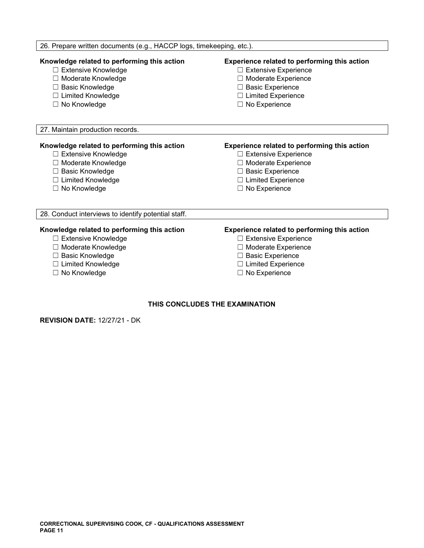| 26. Prepare written documents (e.g., HACCP logs, timekeeping, etc.). |                                              |  |  |  |
|----------------------------------------------------------------------|----------------------------------------------|--|--|--|
| Knowledge related to performing this action                          | Experience related to performing this action |  |  |  |
| □ Extensive Knowledge                                                | $\Box$ Extensive Experience                  |  |  |  |
| □ Moderate Knowledge                                                 | $\Box$ Moderate Experience                   |  |  |  |
| □ Basic Knowledge                                                    | □ Basic Experience                           |  |  |  |
| $\Box$ Limited Knowledge                                             | $\Box$ Limited Experience                    |  |  |  |
| □ No Knowledge                                                       | $\Box$ No Experience                         |  |  |  |
| 27. Maintain production records.                                     |                                              |  |  |  |
| Knowledge related to performing this action                          | Experience related to performing this action |  |  |  |
| □ Extensive Knowledge                                                | $\Box$ Extensive Experience                  |  |  |  |
| $\Box$ Moderate Knowledge                                            | $\Box$ Moderate Experience                   |  |  |  |
| $\Box$ Basic Knowledge                                               | $\Box$ Basic Experience                      |  |  |  |
| □ Limited Knowledge                                                  | $\Box$ Limited Experience                    |  |  |  |
| $\Box$ No Knowledge                                                  | $\Box$ No Experience                         |  |  |  |
| 28. Conduct interviews to identify potential staff.                  |                                              |  |  |  |
| Knowledge related to performing this action                          | Experience related to performing this action |  |  |  |
| $\Box$ Extensive Knowledge                                           | $\Box$ Extensive Experience                  |  |  |  |
| $\Box$ Moderate Knowledge                                            | $\Box$ Moderate Experience                   |  |  |  |
| □ Basic Knowledge                                                    | <b>Basic Experience</b>                      |  |  |  |
| □ Limited Knowledge                                                  | $\Box$ Limited Experience                    |  |  |  |
| $\Box$ No Knowledge                                                  | $\Box$ No Experience                         |  |  |  |

# **THIS CONCLUDES THE EXAMINATION**

**REVISION DATE:** 12/27/21 - DK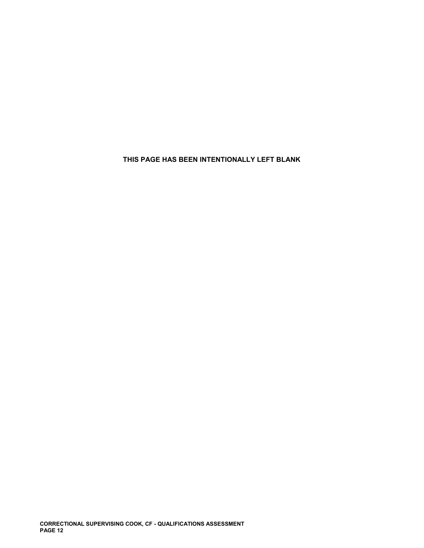**THIS PAGE HAS BEEN INTENTIONALLY LEFT BLANK**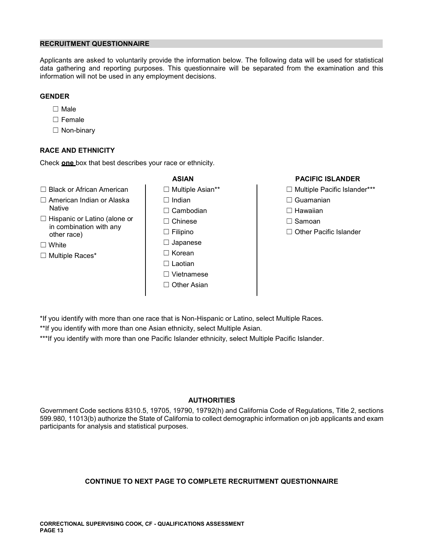# **RECRUITMENT QUESTIONNAIRE**

Applicants are asked to voluntarily provide the information below. The following data will be used for statistical data gathering and reporting purposes. This questionnaire will be separated from the examination and this information will not be used in any employment decisions.

# **GENDER**

- ☐ Male
- ☐ Female
- ☐ Non-binary

# **RACE AND ETHNICITY**

Check **one** box that best describes your race or ethnicity.

- ☐ Black or African American ☐ Multiple Asian\*\* ☐ Multiple Pacific Islander\*\*\*
- ☐ American Indian or Alaska ☐ Indian ☐ Guamanian
- ☐ Hispanic or Latino (alone or ☐ Chinese ☐ Samoan  $\Box$  Filipino  $\Box$  Filipino  $\Box$  Other Pacific Islander

- 
- Native ☐ Cambodian ☐ Hawaiian □ White □ Duapanese □ Multiple Races\* <br>
■ Races\* Races Races Races Races Races Races Races Races Races Races Races Races Races Races Races Races Races Races Races Races Races Races Races Races Races Races Races Races Races Races Races Races □ Laotian ☐ Vietnamese □ Other Asian

# **ASIAN PACIFIC ISLANDER**

- 
- 
- 
- 
- 

\*If you identify with more than one race that is Non-Hispanic or Latino, select Multiple Races.

\*\*If you identify with more than one Asian ethnicity, select Multiple Asian.

\*\*\*If you identify with more than one Pacific Islander ethnicity, select Multiple Pacific Islander.

# **AUTHORITIES**

Government Code sections 8310.5, 19705, 19790, 19792(h) and California Code of Regulations, Title 2, sections 599.980, 11013(b) authorize the State of California to collect demographic information on job applicants and exam participants for analysis and statistical purposes.

# **CONTINUE TO NEXT PAGE TO COMPLETE RECRUITMENT QUESTIONNAIRE**